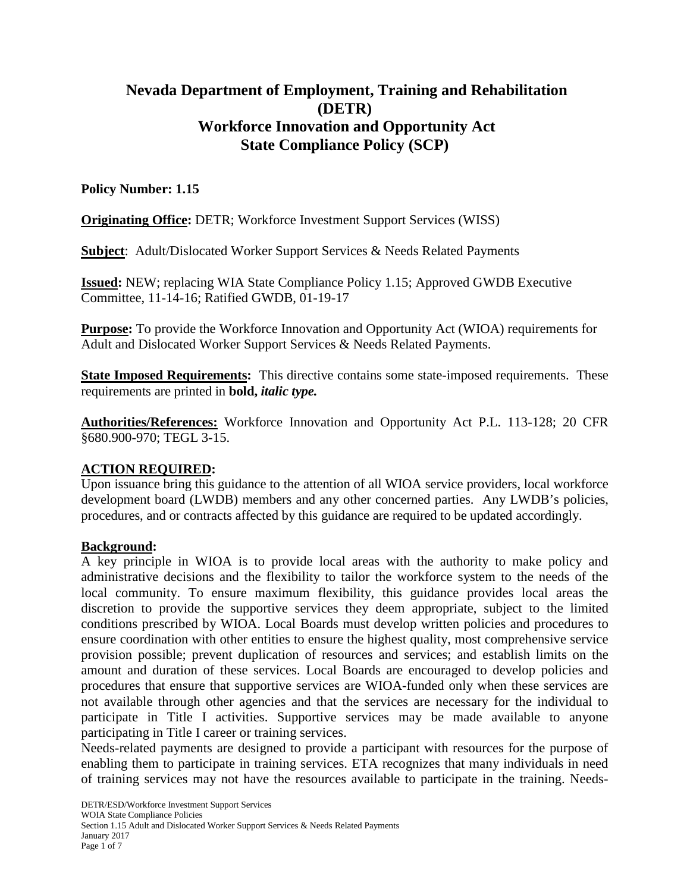# **Nevada Department of Employment, Training and Rehabilitation (DETR) Workforce Innovation and Opportunity Act State Compliance Policy (SCP)**

## **Policy Number: 1.15**

**Originating Office:** DETR; Workforce Investment Support Services (WISS)

**Subject**: Adult/Dislocated Worker Support Services & Needs Related Payments

**Issued:** NEW; replacing WIA State Compliance Policy 1.15; Approved GWDB Executive Committee, 11-14-16; Ratified GWDB, 01-19-17

**Purpose:** To provide the Workforce Innovation and Opportunity Act (WIOA) requirements for Adult and Dislocated Worker Support Services & Needs Related Payments.

**State Imposed Requirements:** This directive contains some state-imposed requirements. These requirements are printed in **bold,** *italic type.*

**Authorities/References:** Workforce Innovation and Opportunity Act P.L. 113-128; 20 CFR §680.900-970; TEGL 3-15.

## **ACTION REQUIRED:**

Upon issuance bring this guidance to the attention of all WIOA service providers, local workforce development board (LWDB) members and any other concerned parties. Any LWDB's policies, procedures, and or contracts affected by this guidance are required to be updated accordingly.

## **Background:**

A key principle in WIOA is to provide local areas with the authority to make policy and administrative decisions and the flexibility to tailor the workforce system to the needs of the local community. To ensure maximum flexibility, this guidance provides local areas the discretion to provide the supportive services they deem appropriate, subject to the limited conditions prescribed by WIOA. Local Boards must develop written policies and procedures to ensure coordination with other entities to ensure the highest quality, most comprehensive service provision possible; prevent duplication of resources and services; and establish limits on the amount and duration of these services. Local Boards are encouraged to develop policies and procedures that ensure that supportive services are WIOA-funded only when these services are not available through other agencies and that the services are necessary for the individual to participate in Title I activities. Supportive services may be made available to anyone participating in Title I career or training services.

Needs-related payments are designed to provide a participant with resources for the purpose of enabling them to participate in training services. ETA recognizes that many individuals in need of training services may not have the resources available to participate in the training. Needs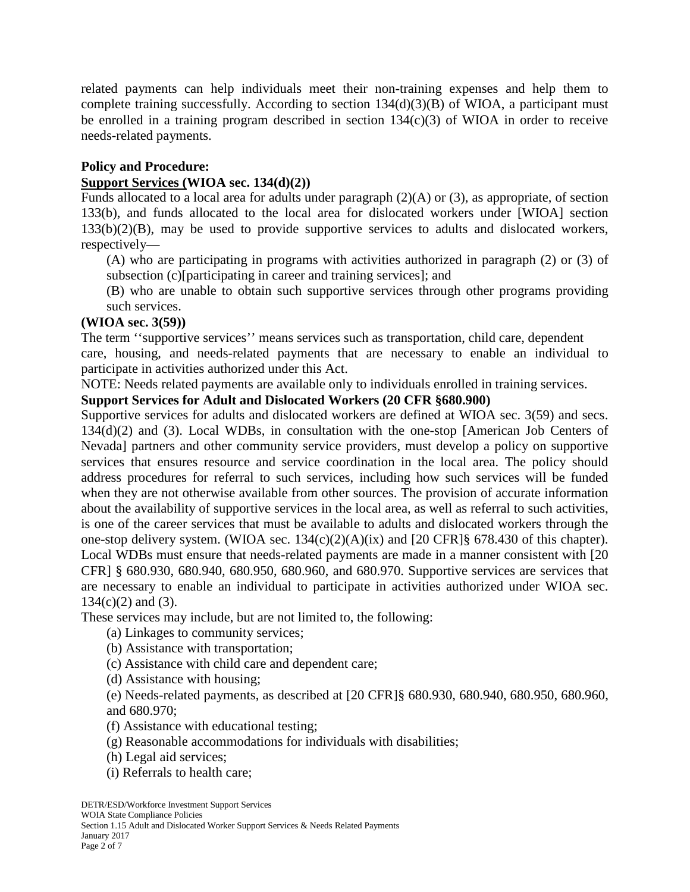related payments can help individuals meet their non-training expenses and help them to complete training successfully. According to section 134(d)(3)(B) of WIOA, a participant must be enrolled in a training program described in section 134(c)(3) of WIOA in order to receive needs-related payments.

## **Policy and Procedure:**

#### **Support Services (WIOA sec. 134(d)(2))**

Funds allocated to a local area for adults under paragraph (2)(A) or (3), as appropriate, of section 133(b), and funds allocated to the local area for dislocated workers under [WIOA] section 133(b)(2)(B), may be used to provide supportive services to adults and dislocated workers, respectively—

(A) who are participating in programs with activities authorized in paragraph (2) or (3) of subsection (c)[participating in career and training services]; and

(B) who are unable to obtain such supportive services through other programs providing such services.

## **(WIOA sec. 3(59))**

The term ''supportive services'' means services such as transportation, child care, dependent care, housing, and needs-related payments that are necessary to enable an individual to participate in activities authorized under this Act.

NOTE: Needs related payments are available only to individuals enrolled in training services.

## **Support Services for Adult and Dislocated Workers (20 CFR §680.900)**

Supportive services for adults and dislocated workers are defined at WIOA sec. 3(59) and secs. 134(d)(2) and (3). Local WDBs, in consultation with the one-stop [American Job Centers of Nevada] partners and other community service providers, must develop a policy on supportive services that ensures resource and service coordination in the local area. The policy should address procedures for referral to such services, including how such services will be funded when they are not otherwise available from other sources. The provision of accurate information about the availability of supportive services in the local area, as well as referral to such activities, is one of the career services that must be available to adults and dislocated workers through the one-stop delivery system. (WIOA sec. 134(c)(2)(A)(ix) and [20 CFR]§ 678.430 of this chapter). Local WDBs must ensure that needs-related payments are made in a manner consistent with [20 CFR] § 680.930, 680.940, 680.950, 680.960, and 680.970. Supportive services are services that are necessary to enable an individual to participate in activities authorized under WIOA sec.  $134(c)(2)$  and  $(3)$ .

These services may include, but are not limited to, the following:

(a) Linkages to community services;

(b) Assistance with transportation;

(c) Assistance with child care and dependent care;

(d) Assistance with housing;

(e) Needs-related payments, as described at [20 CFR]§ 680.930, 680.940, 680.950, 680.960, and 680.970;

(f) Assistance with educational testing;

- (g) Reasonable accommodations for individuals with disabilities;
- (h) Legal aid services;
- (i) Referrals to health care;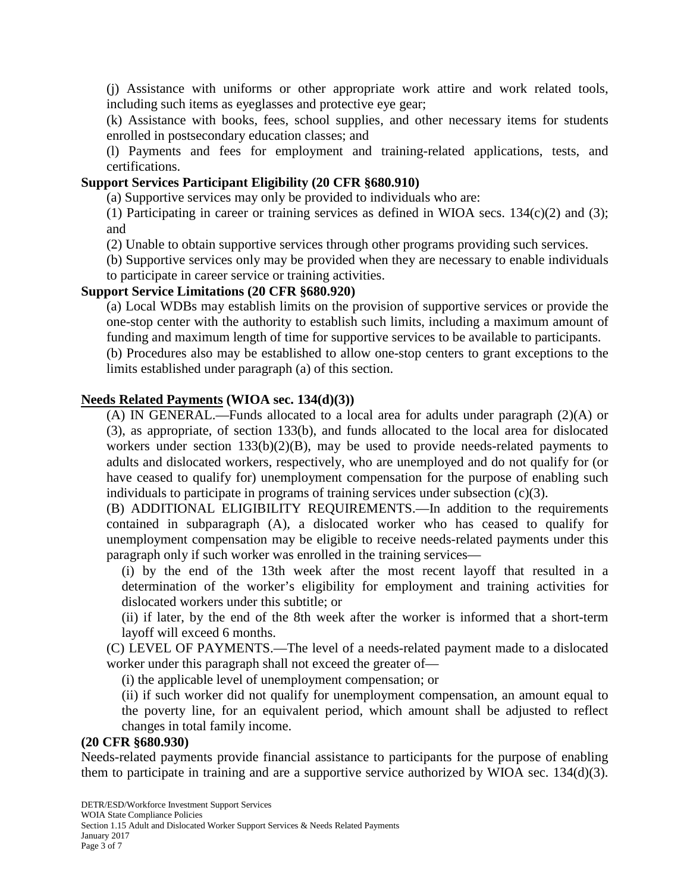(j) Assistance with uniforms or other appropriate work attire and work related tools, including such items as eyeglasses and protective eye gear;

(k) Assistance with books, fees, school supplies, and other necessary items for students enrolled in postsecondary education classes; and

(l) Payments and fees for employment and training-related applications, tests, and certifications.

#### **Support Services Participant Eligibility (20 CFR §680.910)**

(a) Supportive services may only be provided to individuals who are:

(1) Participating in career or training services as defined in WIOA secs.  $134(c)(2)$  and (3); and

(2) Unable to obtain supportive services through other programs providing such services.

(b) Supportive services only may be provided when they are necessary to enable individuals

to participate in career service or training activities.

## **Support Service Limitations (20 CFR §680.920)**

(a) Local WDBs may establish limits on the provision of supportive services or provide the one-stop center with the authority to establish such limits, including a maximum amount of funding and maximum length of time for supportive services to be available to participants.

(b) Procedures also may be established to allow one-stop centers to grant exceptions to the limits established under paragraph (a) of this section.

#### **Needs Related Payments (WIOA sec. 134(d)(3))**

(A) IN GENERAL.—Funds allocated to a local area for adults under paragraph (2)(A) or (3), as appropriate, of section 133(b), and funds allocated to the local area for dislocated workers under section 133(b)(2)(B), may be used to provide needs-related payments to adults and dislocated workers, respectively, who are unemployed and do not qualify for (or have ceased to qualify for) unemployment compensation for the purpose of enabling such individuals to participate in programs of training services under subsection (c)(3).

(B) ADDITIONAL ELIGIBILITY REQUIREMENTS.—In addition to the requirements contained in subparagraph (A), a dislocated worker who has ceased to qualify for unemployment compensation may be eligible to receive needs-related payments under this paragraph only if such worker was enrolled in the training services—

(i) by the end of the 13th week after the most recent layoff that resulted in a determination of the worker's eligibility for employment and training activities for dislocated workers under this subtitle; or

(ii) if later, by the end of the 8th week after the worker is informed that a short-term layoff will exceed 6 months.

(C) LEVEL OF PAYMENTS.—The level of a needs-related payment made to a dislocated worker under this paragraph shall not exceed the greater of—

(i) the applicable level of unemployment compensation; or

(ii) if such worker did not qualify for unemployment compensation, an amount equal to the poverty line, for an equivalent period, which amount shall be adjusted to reflect changes in total family income.

#### **(20 CFR §680.930)**

Needs-related payments provide financial assistance to participants for the purpose of enabling them to participate in training and are a supportive service authorized by WIOA sec. 134(d)(3).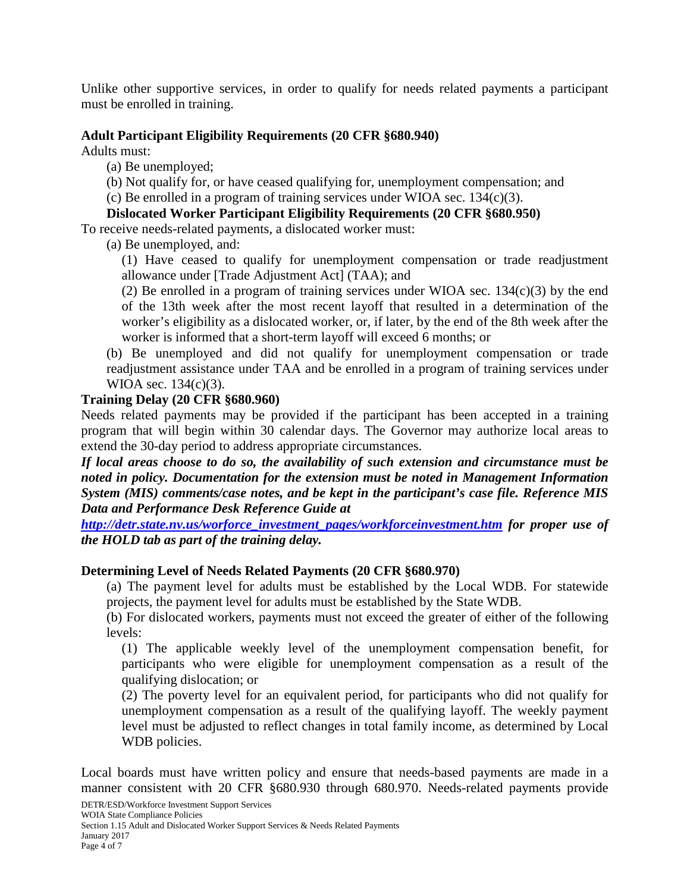Unlike other supportive services, in order to qualify for needs related payments a participant must be enrolled in training.

## **Adult Participant Eligibility Requirements (20 CFR §680.940)**

Adults must:

(a) Be unemployed;

(b) Not qualify for, or have ceased qualifying for, unemployment compensation; and

(c) Be enrolled in a program of training services under WIOA sec. 134(c)(3).

## **Dislocated Worker Participant Eligibility Requirements (20 CFR §680.950)**

To receive needs-related payments, a dislocated worker must:

(a) Be unemployed, and:

(1) Have ceased to qualify for unemployment compensation or trade readjustment allowance under [Trade Adjustment Act] (TAA); and

(2) Be enrolled in a program of training services under WIOA sec.  $134(c)(3)$  by the end of the 13th week after the most recent layoff that resulted in a determination of the worker's eligibility as a dislocated worker, or, if later, by the end of the 8th week after the worker is informed that a short-term layoff will exceed 6 months; or

(b) Be unemployed and did not qualify for unemployment compensation or trade readjustment assistance under TAA and be enrolled in a program of training services under WIOA sec. 134(c)(3).

## **Training Delay (20 CFR §680.960)**

Needs related payments may be provided if the participant has been accepted in a training program that will begin within 30 calendar days. The Governor may authorize local areas to extend the 30-day period to address appropriate circumstances.

*If local areas choose to do so, the availability of such extension and circumstance must be noted in policy. Documentation for the extension must be noted in Management Information System (MIS) comments/case notes, and be kept in the participant's case file. Reference MIS Data and Performance Desk Reference Guide at*

*[http://detr.state.nv.us/worforce\\_investment\\_pages/workforceinvestment.htm](http://detr.state.nv.us/worforce_investment_pages/workforceinvestment.htm) for proper use of the HOLD tab as part of the training delay.*

#### **Determining Level of Needs Related Payments (20 CFR §680.970)**

(a) The payment level for adults must be established by the Local WDB. For statewide projects, the payment level for adults must be established by the State WDB.

(b) For dislocated workers, payments must not exceed the greater of either of the following levels:

(1) The applicable weekly level of the unemployment compensation benefit, for participants who were eligible for unemployment compensation as a result of the qualifying dislocation; or

(2) The poverty level for an equivalent period, for participants who did not qualify for unemployment compensation as a result of the qualifying layoff. The weekly payment level must be adjusted to reflect changes in total family income, as determined by Local WDB policies.

Local boards must have written policy and ensure that needs-based payments are made in a manner consistent with 20 CFR §680.930 through 680.970. Needs-related payments provide

DETR/ESD/Workforce Investment Support Services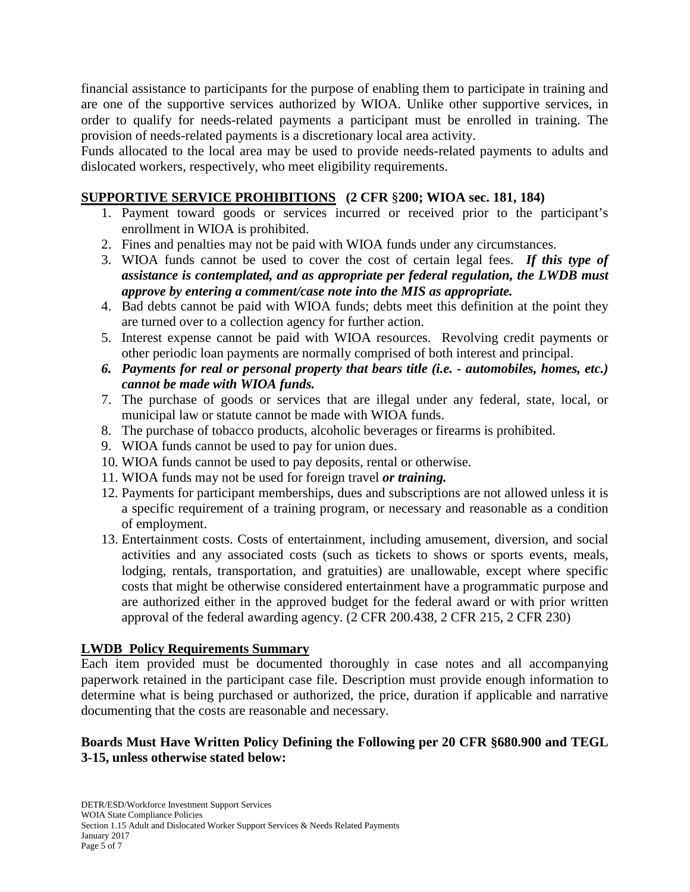financial assistance to participants for the purpose of enabling them to participate in training and are one of the supportive services authorized by WIOA. Unlike other supportive services, in order to qualify for needs-related payments a participant must be enrolled in training. The provision of needs-related payments is a discretionary local area activity.

Funds allocated to the local area may be used to provide needs-related payments to adults and dislocated workers, respectively, who meet eligibility requirements.

# **SUPPORTIVE SERVICE PROHIBITIONS (2 CFR** §**200; WIOA sec. 181, 184)**

- 1. Payment toward goods or services incurred or received prior to the participant's enrollment in WIOA is prohibited.
- 2. Fines and penalties may not be paid with WIOA funds under any circumstances.
- 3. WIOA funds cannot be used to cover the cost of certain legal fees. *If this type of assistance is contemplated, and as appropriate per federal regulation, the LWDB must approve by entering a comment/case note into the MIS as appropriate.*
- 4. Bad debts cannot be paid with WIOA funds; debts meet this definition at the point they are turned over to a collection agency for further action.
- 5. Interest expense cannot be paid with WIOA resources. Revolving credit payments or other periodic loan payments are normally comprised of both interest and principal.
- *6. Payments for real or personal property that bears title (i.e. - automobiles, homes, etc.) cannot be made with WIOA funds.*
- 7. The purchase of goods or services that are illegal under any federal, state, local, or municipal law or statute cannot be made with WIOA funds.
- 8. The purchase of tobacco products, alcoholic beverages or firearms is prohibited.
- 9. WIOA funds cannot be used to pay for union dues.
- 10. WIOA funds cannot be used to pay deposits, rental or otherwise.
- 11. WIOA funds may not be used for foreign travel *or training.*
- 12. Payments for participant memberships, dues and subscriptions are not allowed unless it is a specific requirement of a training program, or necessary and reasonable as a condition of employment.
- 13. Entertainment costs. Costs of entertainment, including amusement, diversion, and social activities and any associated costs (such as tickets to shows or sports events, meals, lodging, rentals, transportation, and gratuities) are unallowable, except where specific costs that might be otherwise considered entertainment have a programmatic purpose and are authorized either in the approved budget for the federal award or with prior written approval of the federal awarding agency. (2 CFR 200.438, 2 CFR 215, 2 CFR 230)

## **LWDB Policy Requirements Summary**

Each item provided must be documented thoroughly in case notes and all accompanying paperwork retained in the participant case file. Description must provide enough information to determine what is being purchased or authorized, the price, duration if applicable and narrative documenting that the costs are reasonable and necessary.

## **Boards Must Have Written Policy Defining the Following per 20 CFR §680.900 and TEGL 3-15, unless otherwise stated below:**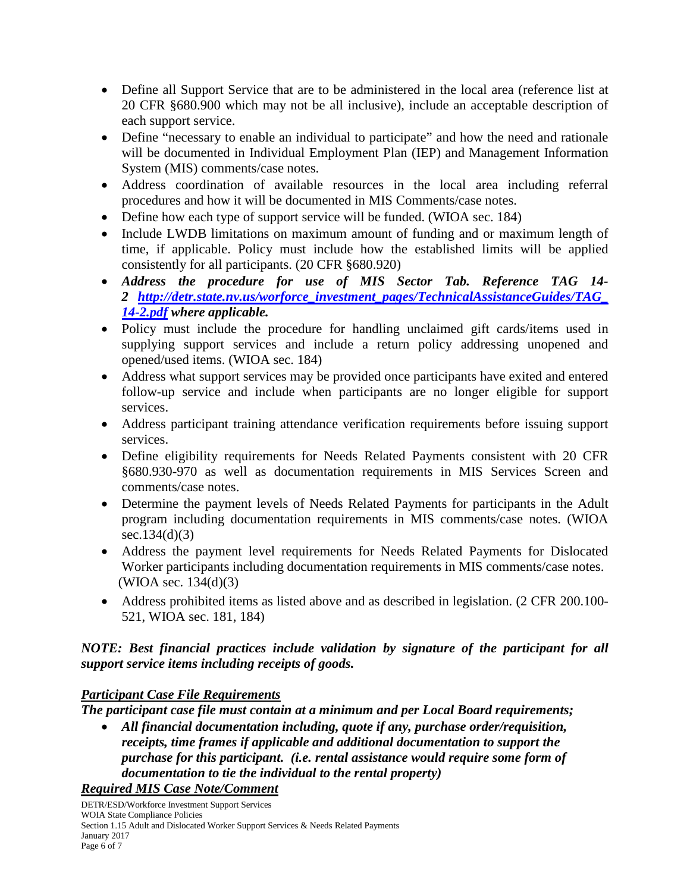- Define all Support Service that are to be administered in the local area (reference list at 20 CFR §680.900 which may not be all inclusive), include an acceptable description of each support service.
- Define "necessary to enable an individual to participate" and how the need and rationale will be documented in Individual Employment Plan (IEP) and Management Information System (MIS) comments/case notes.
- Address coordination of available resources in the local area including referral procedures and how it will be documented in MIS Comments/case notes.
- Define how each type of support service will be funded. (WIOA sec. 184)
- Include LWDB limitations on maximum amount of funding and or maximum length of time, if applicable. Policy must include how the established limits will be applied consistently for all participants. (20 CFR §680.920)
- *Address the procedure for use of MIS Sector Tab. Reference TAG 14- 2 [http://detr.state.nv.us/worforce\\_investment\\_pages/TechnicalAssistanceGuides/TAG\\_](http://detr.state.nv.us/worforce_investment_pages/TechnicalAssistanceGuides/TAG_14-2.pdf) [14-2.pdf](http://detr.state.nv.us/worforce_investment_pages/TechnicalAssistanceGuides/TAG_14-2.pdf) where applicable.*
- Policy must include the procedure for handling unclaimed gift cards/items used in supplying support services and include a return policy addressing unopened and opened/used items. (WIOA sec. 184)
- Address what support services may be provided once participants have exited and entered follow-up service and include when participants are no longer eligible for support services.
- Address participant training attendance verification requirements before issuing support services.
- Define eligibility requirements for Needs Related Payments consistent with 20 CFR §680.930-970 as well as documentation requirements in MIS Services Screen and comments/case notes.
- Determine the payment levels of Needs Related Payments for participants in the Adult program including documentation requirements in MIS comments/case notes. (WIOA sec.134(d)(3)
- Address the payment level requirements for Needs Related Payments for Dislocated Worker participants including documentation requirements in MIS comments/case notes. (WIOA sec. 134(d)(3)
- Address prohibited items as listed above and as described in legislation. (2 CFR 200.100-521, WIOA sec. 181, 184)

# *NOTE: Best financial practices include validation by signature of the participant for all support service items including receipts of goods.*

## *Participant Case File Requirements*

*The participant case file must contain at a minimum and per Local Board requirements;*

• *All financial documentation including, quote if any, purchase order/requisition, receipts, time frames if applicable and additional documentation to support the purchase for this participant. (i.e. rental assistance would require some form of documentation to tie the individual to the rental property)*

## *Required MIS Case Note/Comment*